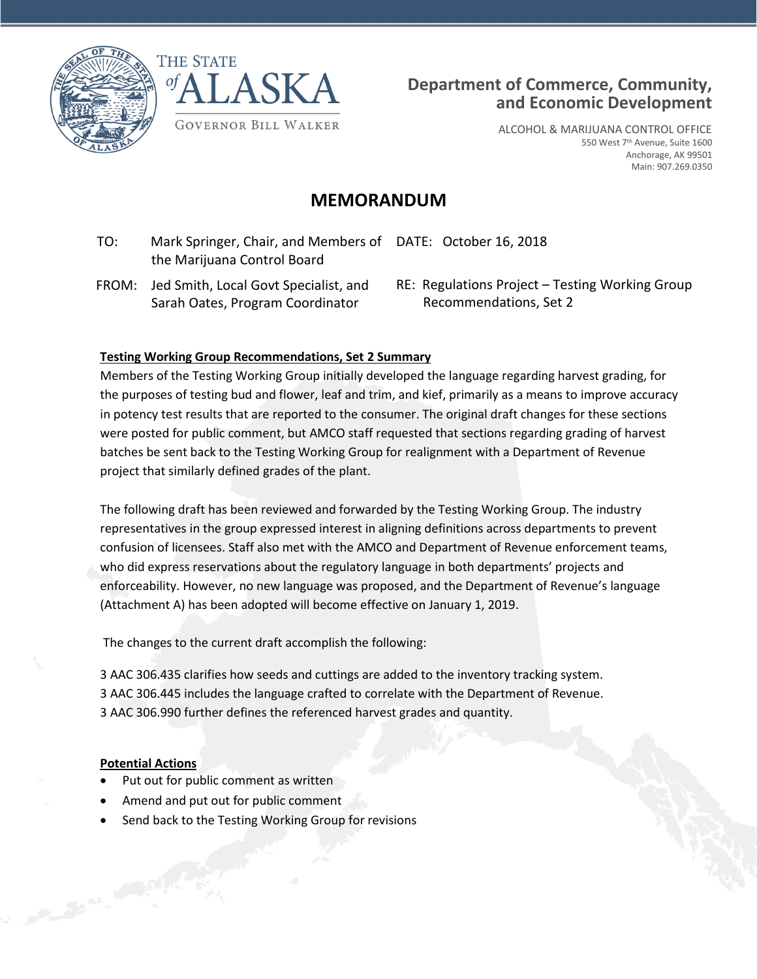





ALCOHOL & MARIJUANA CONTROL OFFICE 550 West 7<sup>th</sup> Avenue, Suite 1600 Anchorage, AK 99501 Main: 907.269.0350

# **MEMORANDUM**

- TO: Mark Springer, Chair, and Members of DATE: October 16, 2018 the Marijuana Control Board
	- FROM: Jed Smith, Local Govt Specialist, and Sarah Oates, Program Coordinator

RE: Regulations Project – Testing Working Group Recommendations, Set 2

#### **Testing Working Group Recommendations, Set 2 Summary**

Members of the Testing Working Group initially developed the language regarding harvest grading, for the purposes of testing bud and flower, leaf and trim, and kief, primarily as a means to improve accuracy in potency test results that are reported to the consumer. The original draft changes for these sections were posted for public comment, but AMCO staff requested that sections regarding grading of harvest batches be sent back to the Testing Working Group for realignment with a Department of Revenue project that similarly defined grades of the plant.

The following draft has been reviewed and forwarded by the Testing Working Group. The industry representatives in the group expressed interest in aligning definitions across departments to prevent confusion of licensees. Staff also met with the AMCO and Department of Revenue enforcement teams, who did express reservations about the regulatory language in both departments' projects and enforceability. However, no new language was proposed, and the Department of Revenue's language (Attachment A) has been adopted will become effective on January 1, 2019.

The changes to the current draft accomplish the following:

3 AAC 306.435 clarifies how seeds and cuttings are added to the inventory tracking system. 3 AAC 306.445 includes the language crafted to correlate with the Department of Revenue. 3 AAC 306.990 further defines the referenced harvest grades and quantity.

#### **Potential Actions**

Company of the Company

- Put out for public comment as written
- Amend and put out for public comment
- Send back to the Testing Working Group for revisions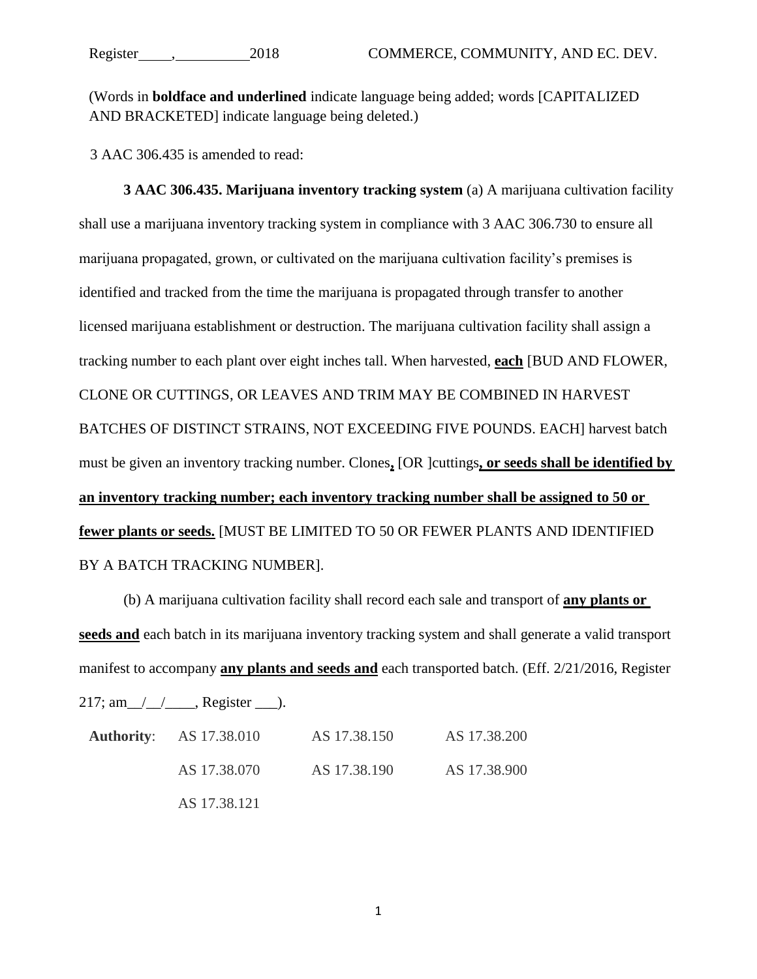(Words in **boldface and underlined** indicate language being added; words [CAPITALIZED AND BRACKETED] indicate language being deleted.)

3 AAC 306.435 is amended to read:

**3 AAC 306.435. Marijuana inventory tracking system** (a) A marijuana cultivation facility shall use a marijuana inventory tracking system in compliance with 3 AAC 306.730 to ensure all marijuana propagated, grown, or cultivated on the marijuana cultivation facility's premises is identified and tracked from the time the marijuana is propagated through transfer to another licensed marijuana establishment or destruction. The marijuana cultivation facility shall assign a tracking number to each plant over eight inches tall. When harvested, **each** [BUD AND FLOWER, CLONE OR CUTTINGS, OR LEAVES AND TRIM MAY BE COMBINED IN HARVEST BATCHES OF DISTINCT STRAINS, NOT EXCEEDING FIVE POUNDS. EACH] harvest batch must be given an inventory tracking number. Clones**,** [OR ]cuttings**, or seeds shall be identified by an inventory tracking number; each inventory tracking number shall be assigned to 50 or fewer plants or seeds.** [MUST BE LIMITED TO 50 OR FEWER PLANTS AND IDENTIFIED BY A BATCH TRACKING NUMBER].

(b) A marijuana cultivation facility shall record each sale and transport of **any plants or seeds and** each batch in its marijuana inventory tracking system and shall generate a valid transport manifest to accompany **any plants and seeds and** each transported batch. (Eff. 2/21/2016, Register

 $217; \text{ am}$  / / \_ \_ , Register \_ \_ ).

| <b>Authority:</b> AS 17.38.010 | AS 17.38.150 | AS 17.38.200 |
|--------------------------------|--------------|--------------|
| AS 17.38.070                   | AS 17.38.190 | AS 17.38.900 |
| AS 17.38.121                   |              |              |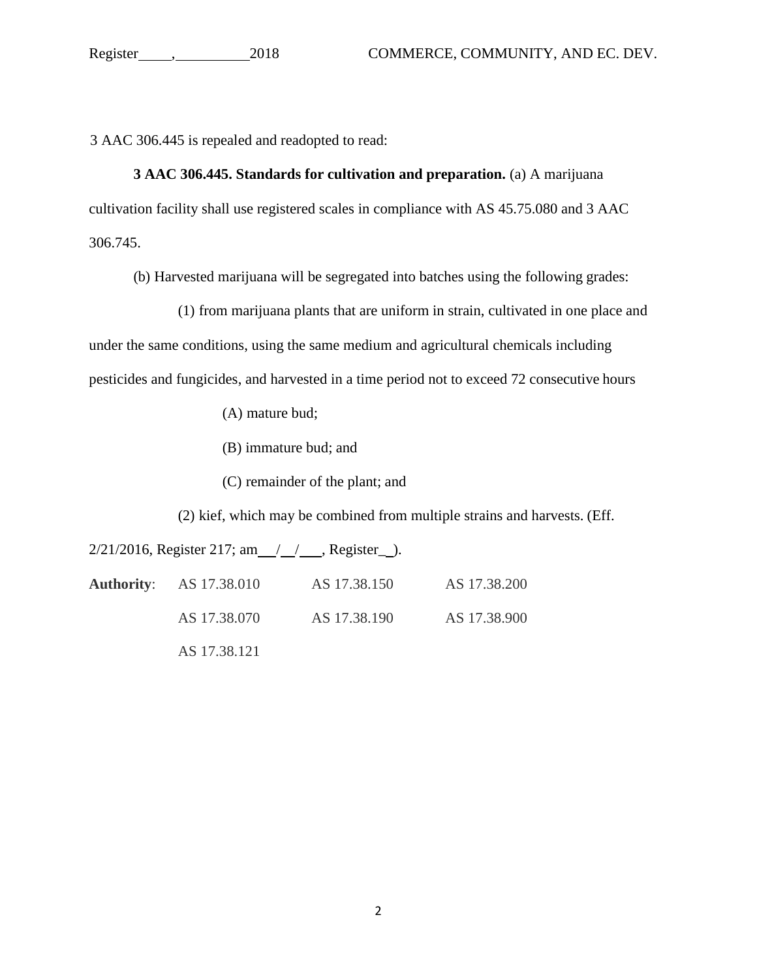3 AAC 306.445 is repealed and readopted to read:

#### **3 AAC 306.445. Standards for cultivation and preparation.** (a) A marijuana

cultivation facility shall use registered scales in compliance with AS 45.75.080 and 3 AAC

306.745.

(b) Harvested marijuana will be segregated into batches using the following grades:

(1) from marijuana plants that are uniform in strain, cultivated in one place and under the same conditions, using the same medium and agricultural chemicals including pesticides and fungicides, and harvested in a time period not to exceed 72 consecutive hours

(A) mature bud;

(B) immature bud; and

(C) remainder of the plant; and

(2) kief, which may be combined from multiple strains and harvests. (Eff.

 $2/21/2016$ , Register 217; am  $\frac{1}{1}$  , Register  $\frac{1}{1}$ .

| <b>Authority:</b> AS 17.38.010 | AS 17.38.150 | AS 17.38.200 |
|--------------------------------|--------------|--------------|
| AS 17.38.070                   | AS 17.38.190 | AS 17.38.900 |
| AS 17.38.121                   |              |              |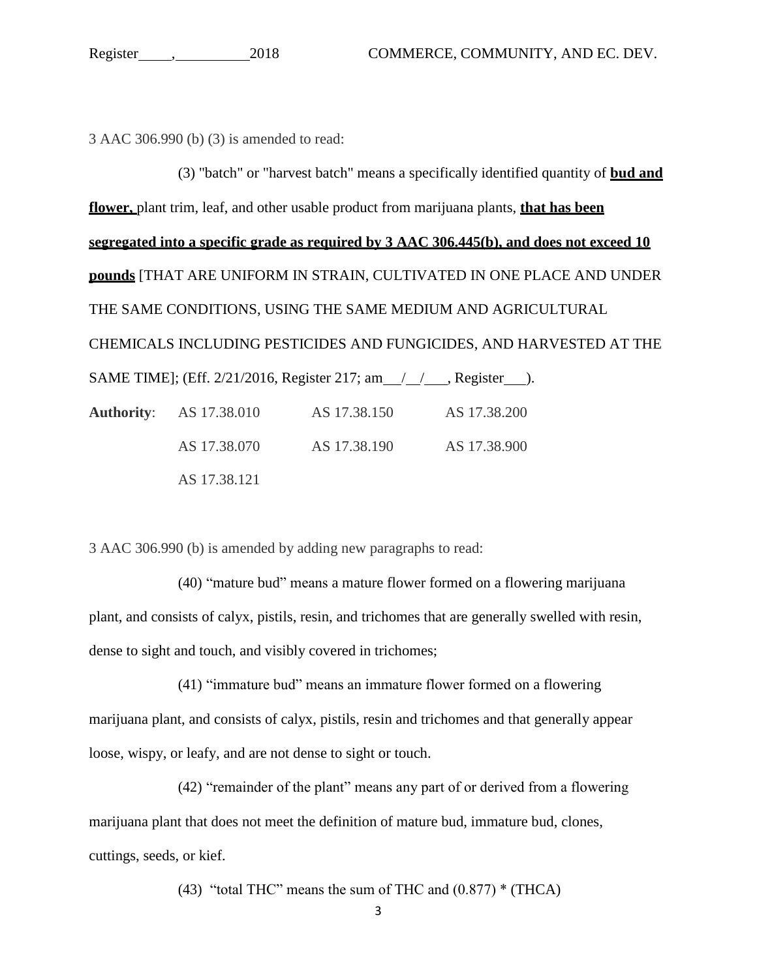3 AAC 306.990 (b) (3) is amended to read:

(3) "batch" or "harvest batch" means a specifically identified quantity of **bud and flower,** plant trim, leaf, and other usable product from marijuana plants, **that has been segregated into a specific grade as required by 3 AAC 306.445(b), and does not exceed 10 pounds** [THAT ARE UNIFORM IN STRAIN, CULTIVATED IN ONE PLACE AND UNDER THE SAME CONDITIONS, USING THE SAME MEDIUM AND AGRICULTURAL CHEMICALS INCLUDING PESTICIDES AND FUNGICIDES, AND HARVESTED AT THE SAME TIME]; (Eff. 2/21/2016, Register 217; am / / , Register ). **Authority**: AS 17.38.010 AS 17.38.150 AS 17.38.200 AS 17.38.070 AS 17.38.190 AS 17.38.900 AS 17.38.121

3 AAC 306.990 (b) is amended by adding new paragraphs to read:

(40) "mature bud" means a mature flower formed on a flowering marijuana plant, and consists of calyx, pistils, resin, and trichomes that are generally swelled with resin, dense to sight and touch, and visibly covered in trichomes;

(41) "immature bud" means an immature flower formed on a flowering marijuana plant, and consists of calyx, pistils, resin and trichomes and that generally appear loose, wispy, or leafy, and are not dense to sight or touch.

(42) "remainder of the plant" means any part of or derived from a flowering marijuana plant that does not meet the definition of mature bud, immature bud, clones, cuttings, seeds, or kief.

(43) "total THC" means the sum of THC and  $(0.877)$  \* (THCA)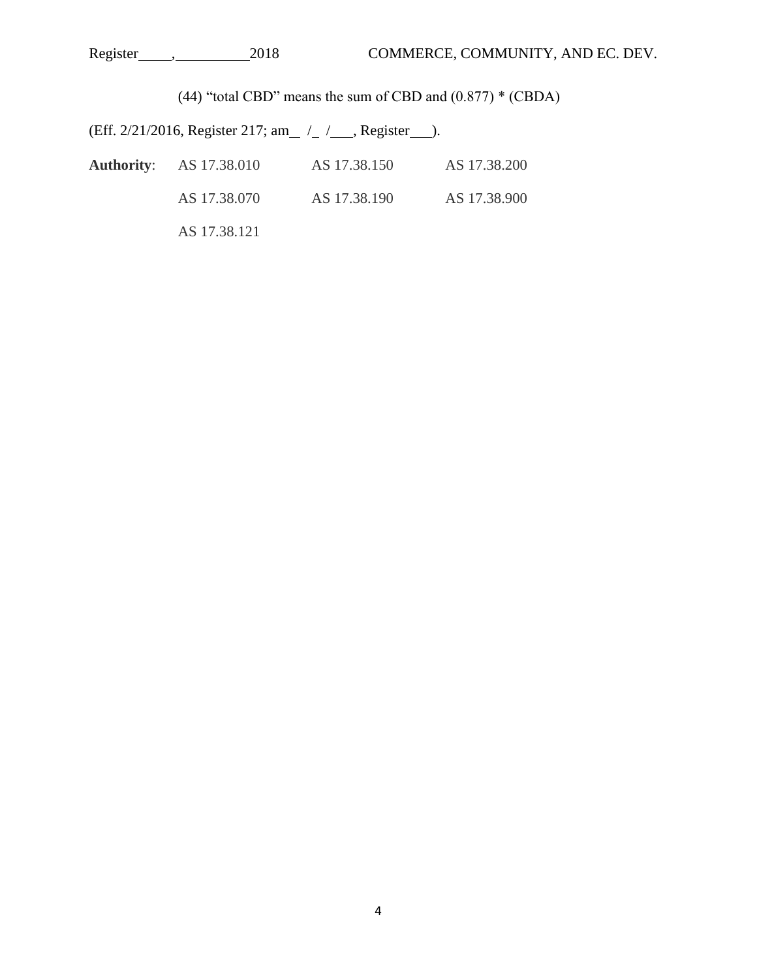| 2018<br>Register | COMMERCE, COMMUNITY, AND EC. DEV. |
|------------------|-----------------------------------|
|------------------|-----------------------------------|

(44) "total CBD" means the sum of CBD and (0.877) \* (CBDA)

(Eff. 2/21/2016, Register 217; am<sub>\_/\_/</sub>\_/\_, Register\_\_).

| <b>Authority:</b> AS 17.38.010 | AS 17.38.150 | AS 17.38.200 |
|--------------------------------|--------------|--------------|
| AS 17.38.070                   | AS 17.38.190 | AS 17.38.900 |
| AS 17.38.121                   |              |              |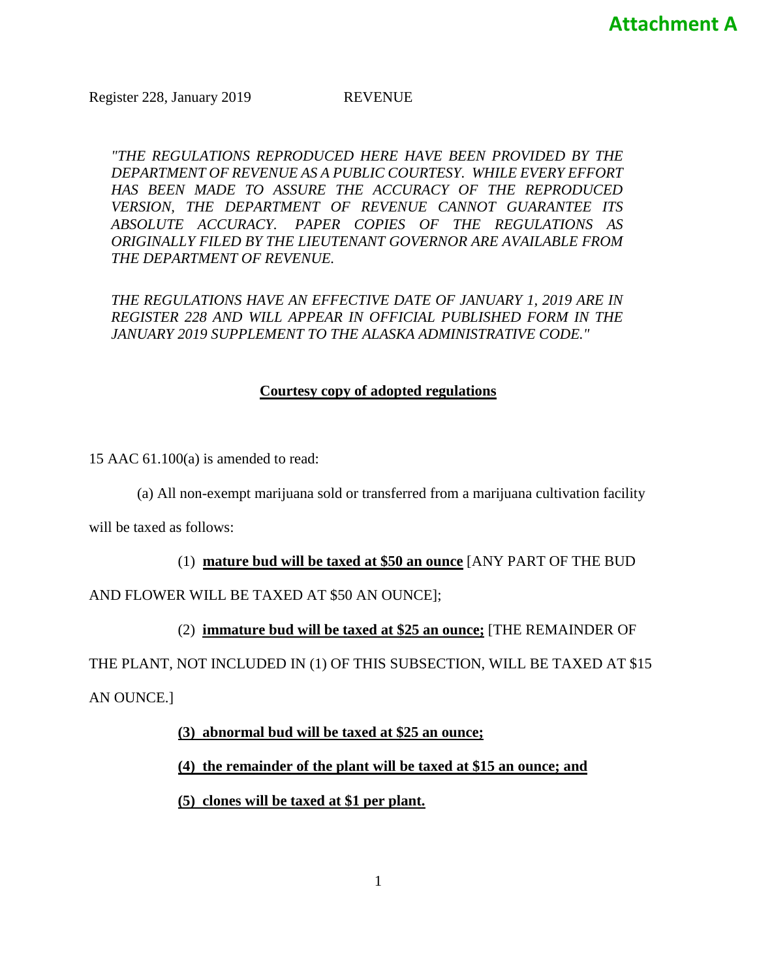Register 228, January 2019 REVENUE

*"THE REGULATIONS REPRODUCED HERE HAVE BEEN PROVIDED BY THE DEPARTMENT OF REVENUE AS A PUBLIC COURTESY. WHILE EVERY EFFORT HAS BEEN MADE TO ASSURE THE ACCURACY OF THE REPRODUCED VERSION, THE DEPARTMENT OF REVENUE CANNOT GUARANTEE ITS ABSOLUTE ACCURACY. PAPER COPIES OF THE REGULATIONS AS ORIGINALLY FILED BY THE LIEUTENANT GOVERNOR ARE AVAILABLE FROM THE DEPARTMENT OF REVENUE.*

*THE REGULATIONS HAVE AN EFFECTIVE DATE OF JANUARY 1, 2019 ARE IN REGISTER 228 AND WILL APPEAR IN OFFICIAL PUBLISHED FORM IN THE JANUARY 2019 SUPPLEMENT TO THE ALASKA ADMINISTRATIVE CODE."*

#### **Courtesy copy of adopted regulations**

15 AAC 61.100(a) is amended to read:

(a) All non-exempt marijuana sold or transferred from a marijuana cultivation facility

will be taxed as follows:

(1) **mature bud will be taxed at \$50 an ounce** [ANY PART OF THE BUD

AND FLOWER WILL BE TAXED AT \$50 AN OUNCE];

(2) **immature bud will be taxed at \$25 an ounce;** [THE REMAINDER OF

THE PLANT, NOT INCLUDED IN (1) OF THIS SUBSECTION, WILL BE TAXED AT \$15 AN OUNCE.]

**(3) abnormal bud will be taxed at \$25 an ounce;**

**(4) the remainder of the plant will be taxed at \$15 an ounce; and**

**(5) clones will be taxed at \$1 per plant.**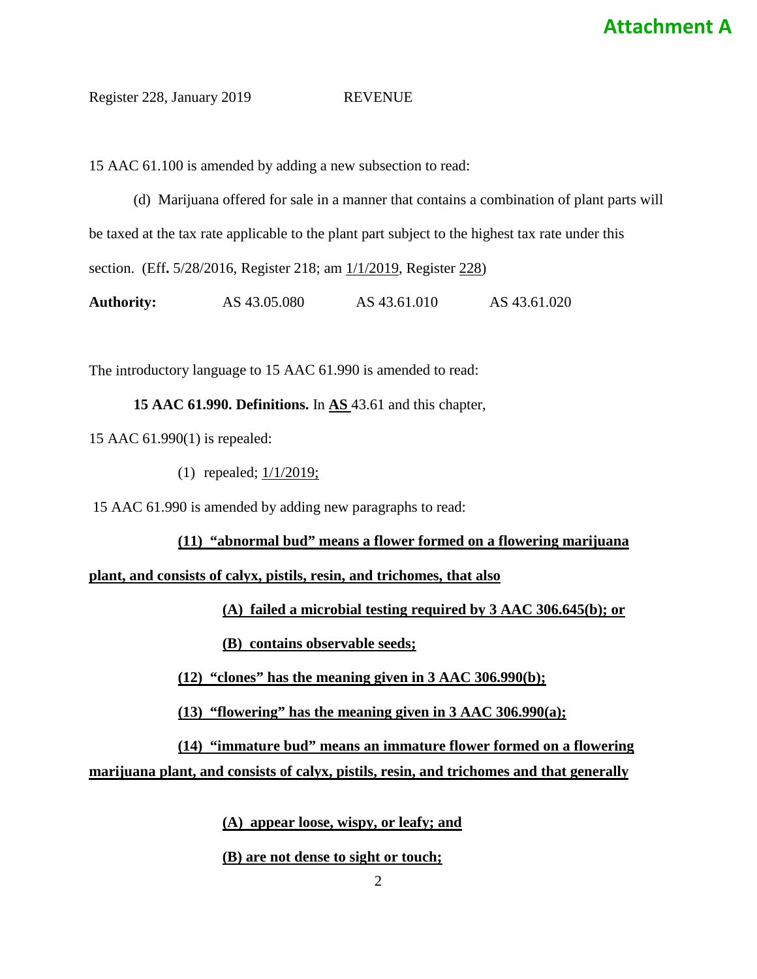# **Attachment A**

#### Register 228, January 2019 REVENUE

15 AAC 61.100 is amended by adding a new subsection to read:

(d) Marijuana offered for sale in a manner that contains a combination of plant parts will be taxed at the tax rate applicable to the plant part subject to the highest tax rate under this section. (Eff**.** 5/28/2016, Register 218; am 1/1/2019, Register 228) **Authority:** AS 43.05.080 AS 43.61.010 AS 43.61.020

The introductory language to 15 AAC 61.990 is amended to read:

**15 AAC 61.990. Definitions.** In **AS** 43.61 and this chapter,

15 AAC 61.990(1) is repealed:

(1) repealed;  $1/1/2019$ ;

15 AAC 61.990 is amended by adding new paragraphs to read:

**(11) "abnormal bud" means a flower formed on a flowering marijuana**

**plant, and consists of calyx, pistils, resin, and trichomes, that also**

**(A) failed a microbial testing required by 3 AAC 306.645(b); or**

**(B) contains observable seeds;**

**(12) "clones" has the meaning given in 3 AAC 306.990(b);**

**(13) "flowering" has the meaning given in 3 AAC 306.990(a);**

**(14) "immature bud" means an immature flower formed on a flowering marijuana plant, and consists of calyx, pistils, resin, and trichomes and that generally** 

**(A) appear loose, wispy, or leafy; and**

#### **(B) are not dense to sight or touch;**